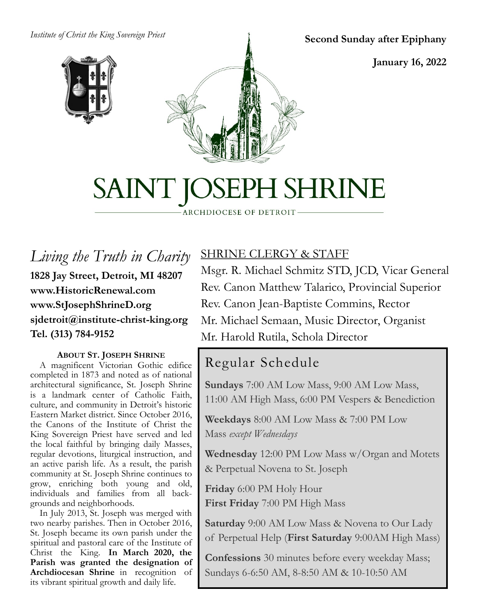#### *Institute of Christ the King Sovereign Priest*



**Second Sunday after Epiphany**

**January 16, 2022**

# SAINT JOSEPH SHRINE

ARCHDIOCESE OF DETROIT

*Living the Truth in Charity* **1828 Jay Street, Detroit, MI 48207 www.HistoricRenewal.com www.StJosephShrineD.org sjdetroit@institute-christ-king.org Tel. (313) 784-9152**

#### **ABOUT ST. JOSEPH SHRINE**

 A magnificent Victorian Gothic edifice completed in 1873 and noted as of national architectural significance, St. Joseph Shrine is a landmark center of Catholic Faith, culture, and community in Detroit's historic Eastern Market district. Since October 2016, the Canons of the Institute of Christ the King Sovereign Priest have served and led the local faithful by bringing daily Masses, regular devotions, liturgical instruction, and an active parish life. As a result, the parish community at St. Joseph Shrine continues to grow, enriching both young and old, individuals and families from all backgrounds and neighborhoods.

 In July 2013, St. Joseph was merged with two nearby parishes. Then in October 2016, St. Joseph became its own parish under the spiritual and pastoral care of the Institute of Christ the King. **In March 2020, the Parish was granted the designation of Archdiocesan Shrine** in recognition of its vibrant spiritual growth and daily life.

#### SHRINE CLERGY & STAFF

Msgr. R. Michael Schmitz STD, JCD, Vicar General Rev. Canon Matthew Talarico, Provincial Superior Rev. Canon Jean-Baptiste Commins, Rector Mr. Michael Semaan, Music Director, Organist Mr. Harold Rutila, Schola Director

# Regular Schedule

**Sundays** 7:00 AM Low Mass, 9:00 AM Low Mass, 11:00 AM High Mass, 6:00 PM Vespers & Benediction

**Weekdays** 8:00 AM Low Mass & 7:00 PM Low Mass *except Wednesdays*

**Wednesday** 12:00 PM Low Mass w/Organ and Motets & Perpetual Novena to St. Joseph

**Friday** 6:00 PM Holy Hour **First Friday** 7:00 PM High Mass

**Saturday** 9:00 AM Low Mass & Novena to Our Lady of Perpetual Help (**First Saturday** 9:00AM High Mass)

**Confessions** 30 minutes before every weekday Mass; Sundays 6-6:50 AM, 8-8:50 AM & 10-10:50 AM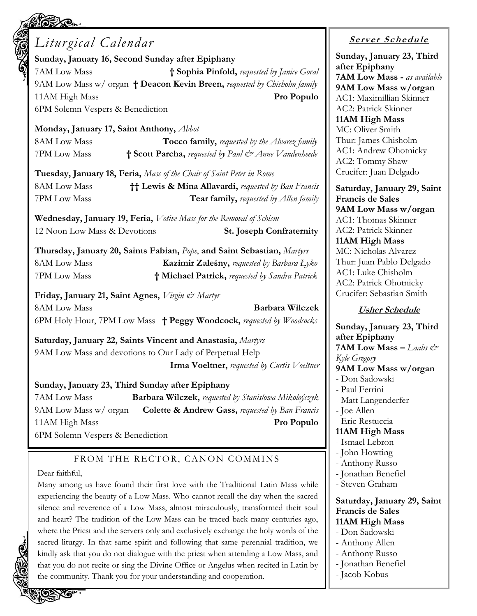# *Liturgical Calendar*

**Sunday, January 16, Second Sunday after Epiphany** 7AM Low Mass **† Sophia Pinfold,** *requested by Janice Goral* 9AM Low Mass w/ organ **† Deacon Kevin Breen,** *requested by Chisholm family* 11AM High Mass **Pro Populo**

6PM Solemn Vespers & Benediction

#### **Monday, January 17, Saint Anthony,** *Abbot*

8AM Low Mass **Tocco family,** *requested by the Alvarez family* 7PM Low Mass **† Scott Parcha,** *requested by Paul & Anne Vandenheede*

**Tuesday, January 18, Feria,** *Mass of the Chair of Saint Peter in Rome*  8AM Low Mass **†† Lewis & Mina Allavardi,** *requested by Ban Francis* 7PM Low Mass **Tear family,** *requested by Allen family*

**Wednesday, January 19, Feria,** *Votive Mass for the Removal of Schism*

12 Noon Low Mass & Devotions **St. Joseph Confraternity**

**Thursday, January 20, Saints Fabian,** *Pope*, **and Saint Sebastian,** *Martyrs* 8AM Low Mass **Kazimir Zaleśny,** *requested by Barbara Łyko* 7PM Low Mass **† Michael Patrick,** *requested by Sandra Patrick*

**Friday, January 21, Saint Agnes,** *Virgin & Martyr*

8AM Low Mass **Barbara Wilczek** 6PM Holy Hour, 7PM Low Mass **† Peggy Woodcock,** *requested by Woodcocks*

**Saturday, January 22, Saints Vincent and Anastasia,** *Martyrs* 9AM Low Mass and devotions to Our Lady of Perpetual Help **Irma Voeltner,** *requested by Curtis Voeltner*

#### **Sunday, January 23, Third Sunday after Epiphany**

7AM Low Mass **Barbara Wilczek,** *requested by Stanislowa Mikoloýczyk* 9AM Low Mass w/ organ **Colette & Andrew Gass,** *requested by Ban Francis* 11AM High Mass **Pro Populo**

6PM Solemn Vespers & Benediction

#### FROM THE RECTOR, CANON COMMINS

#### Dear faithful,

Many among us have found their first love with the Traditional Latin Mass while experiencing the beauty of a Low Mass. Who cannot recall the day when the sacred silence and reverence of a Low Mass, almost miraculously, transformed their soul and heart? The tradition of the Low Mass can be traced back many centuries ago, where the Priest and the servers only and exclusively exchange the holy words of the sacred liturgy. In that same spirit and following that same perennial tradition, we kindly ask that you do not dialogue with the priest when attending a Low Mass, and that you do not recite or sing the Divine Office or Angelus when recited in Latin by the community. Thank you for your understanding and cooperation.

# **<sup>S</sup> <sup>e</sup> rv er <sup>S</sup> <sup>c</sup> he du le**

**Sunday, January 23, Third after Epiphany 7AM Low Mass -** *as available* **9AM Low Mass w/organ** AC1: Maximillian Skinner AC2: Patrick Skinner **11AM High Mass** MC: Oliver Smith Thur: James Chisholm AC1: Andrew Ohotnicky AC2: Tommy Shaw Crucifer: Juan Delgado

**Saturday, January 29, Saint Francis de Sales 9AM Low Mass w/organ** AC1: Thomas Skinner AC2: Patrick Skinner **11AM High Mass** MC: Nicholas Alvarez Thur: Juan Pablo Delgado AC1: Luke Chisholm AC2: Patrick Ohotnicky Crucifer: Sebastian Smith

#### **Usher Schedule**

**Sunday, January 23, Third after Epiphany 7AM Low Mass –** *Laabs*  $\mathcal{Q}^*$ *Kyle Gregory* **9AM Low Mass w/organ** - Don Sadowski - Paul Ferrini - Matt Langenderfer - Joe Allen - Eric Restuccia **11AM High Mass** - Ismael Lebron - John Howting - Anthony Russo - Jonathan Benefiel - Steven Graham **Saturday, January 29, Saint Francis de Sales 11AM High Mass** - Don Sadowski - Anthony Allen - Anthony Russo

- Jonathan Benefiel
- Jacob Kobus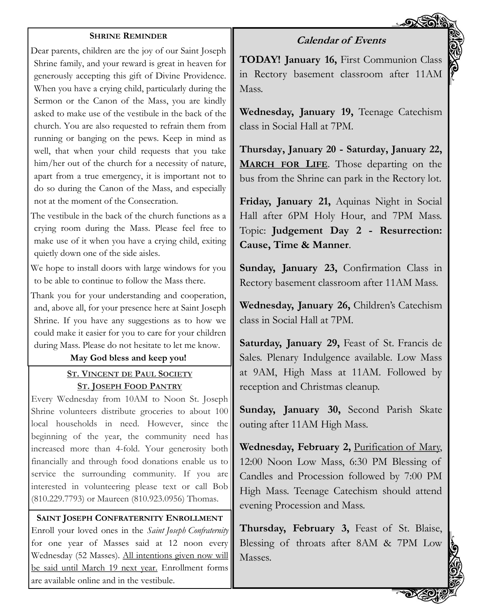#### **SHRINE REMINDER**

Dear parents, children are the joy of our Saint Joseph Shrine family, and your reward is great in heaven for generously accepting this gift of Divine Providence. When you have a crying child, particularly during the Sermon or the Canon of the Mass, you are kindly asked to make use of the vestibule in the back of the church. You are also requested to refrain them from running or banging on the pews. Keep in mind as well, that when your child requests that you take him/her out of the church for a necessity of nature, apart from a true emergency, it is important not to do so during the Canon of the Mass, and especially not at the moment of the Consecration.

The vestibule in the back of the church functions as a crying room during the Mass. Please feel free to make use of it when you have a crying child, exiting quietly down one of the side aisles.

We hope to install doors with large windows for you to be able to continue to follow the Mass there.

Thank you for your understanding and cooperation, and, above all, for your presence here at Saint Joseph Shrine. If you have any suggestions as to how we could make it easier for you to care for your children during Mass. Please do not hesitate to let me know.

#### **May God bless and keep you!**

#### **ST. VINCENT DE PAUL SOCIETY ST. JOSEPH FOOD PANTRY**

Every Wednesday from 10AM to Noon St. Joseph Shrine volunteers distribute groceries to about 100 local households in need. However, since the beginning of the year, the community need has increased more than 4-fold. Your generosity both financially and through food donations enable us to service the surrounding community. If you are interested in volunteering please text or call Bob (810.229.7793) or Maureen (810.923.0956) Thomas.

**SAINT JOSEPH CONFRATERNITY ENROLLMENT** Enroll your loved ones in the *Saint Joseph Confraternity*  for one year of Masses said at 12 noon every Wednesday (52 Masses). All intentions given now will be said until March 19 next year. Enrollment forms are available online and in the vestibule.

**TODAY! January 16,** First Communion Class in Rectory basement classroom after 11AM Mass.

**Calendar of Events**

**Wednesday, January 19,** Teenage Catechism class in Social Hall at 7PM.

**Thursday, January 20 - Saturday, January 22, MARCH FOR LIFE**. Those departing on the bus from the Shrine can park in the Rectory lot.

**Friday, January 21,** Aquinas Night in Social Hall after 6PM Holy Hour, and 7PM Mass. Topic: **Judgement Day 2 - Resurrection: Cause, Time & Manner**.

**Sunday, January 23,** Confirmation Class in Rectory basement classroom after 11AM Mass.

**Wednesday, January 26,** Children's Catechism class in Social Hall at 7PM.

**Saturday, January 29,** Feast of St. Francis de Sales. Plenary Indulgence available. Low Mass at 9AM, High Mass at 11AM. Followed by reception and Christmas cleanup.

**Sunday, January 30,** Second Parish Skate outing after 11AM High Mass.

**Wednesday, February 2,** Purification of Mary, 12:00 Noon Low Mass, 6:30 PM Blessing of Candles and Procession followed by 7:00 PM High Mass. Teenage Catechism should attend evening Procession and Mass.

**Thursday, February 3,** Feast of St. Blaise, Blessing of throats after 8AM & 7PM Low Masses.